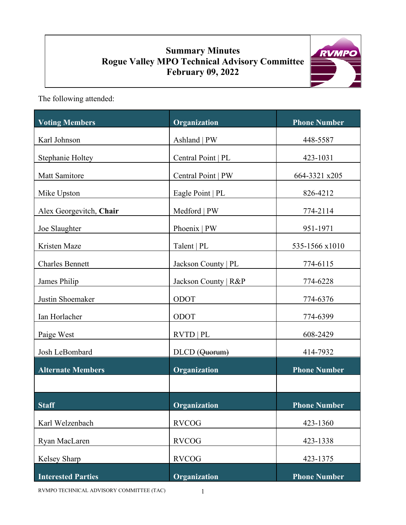# **Summary Minutes Rogue Valley MPO Technical Advisory Committee February 09, 2022**



The following attended:

| <b>Voting Members</b>     | Organization         | <b>Phone Number</b> |
|---------------------------|----------------------|---------------------|
| Karl Johnson              | Ashland   PW         | 448-5587            |
| Stephanie Holtey          | Central Point   PL   | 423-1031            |
| Matt Samitore             | Central Point   PW   | 664-3321 x205       |
| Mike Upston               | Eagle Point   PL     | 826-4212            |
| Alex Georgevitch, Chair   | Medford   PW         | 774-2114            |
| Joe Slaughter             | Phoenix   PW         | 951-1971            |
| Kristen Maze              | Talent   PL          | 535-1566 x1010      |
| <b>Charles Bennett</b>    | Jackson County   PL  | 774-6115            |
| James Philip              | Jackson County   R&P | 774-6228            |
| Justin Shoemaker          | <b>ODOT</b>          | 774-6376            |
| Ian Horlacher             | ODOT                 | 774-6399            |
| Paige West                | RVTD   PL            | 608-2429            |
| Josh LeBombard            | DLCD (Quorum)        | 414-7932            |
| <b>Alternate Members</b>  | Organization         | <b>Phone Number</b> |
|                           |                      |                     |
| <b>Staff</b>              | <b>Organization</b>  | <b>Phone Number</b> |
| Karl Welzenbach           | <b>RVCOG</b>         | 423-1360            |
| Ryan MacLaren             | <b>RVCOG</b>         | 423-1338            |
| Kelsey Sharp              | <b>RVCOG</b>         | 423-1375            |
| <b>Interested Parties</b> | Organization         | <b>Phone Number</b> |

RVMPO TECHNICAL ADVISORY COMMITTEE (TAC) 1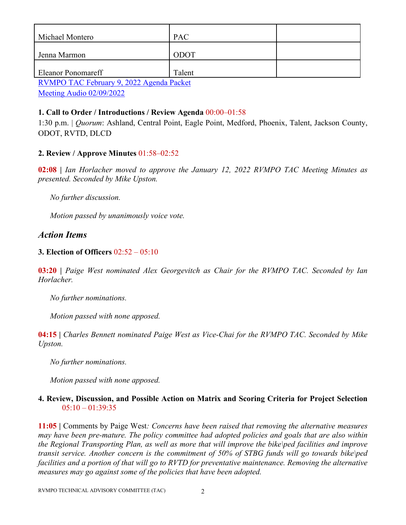| Michael Montero                                                                                                                                                                                                                                                                                                                                                                      | <b>PAC</b> |  |
|--------------------------------------------------------------------------------------------------------------------------------------------------------------------------------------------------------------------------------------------------------------------------------------------------------------------------------------------------------------------------------------|------------|--|
|                                                                                                                                                                                                                                                                                                                                                                                      |            |  |
| Jenna Marmon                                                                                                                                                                                                                                                                                                                                                                         | ODOT       |  |
|                                                                                                                                                                                                                                                                                                                                                                                      |            |  |
| <b>Eleanor Ponomareff</b>                                                                                                                                                                                                                                                                                                                                                            | Talent     |  |
| $\overline{D}$ $\overline{D}$ $\overline{D}$ $\overline{D}$ $\overline{D}$ $\overline{D}$ $\overline{D}$ $\overline{D}$ $\overline{D}$ $\overline{D}$ $\overline{D}$ $\overline{D}$ $\overline{D}$ $\overline{D}$ $\overline{D}$ $\overline{D}$ $\overline{D}$ $\overline{D}$ $\overline{D}$ $\overline{D}$ $\overline{D}$ $\overline{D}$ $\overline{D}$ $\overline{D}$ $\overline{$ |            |  |

[RVMPO TAC February 9, 2022 Agenda Packet](https://rvmpo.org/wp-content/uploads/2019/09/RVMPO-TAC-Agenda-02-09-2022.pdf)

[Meeting Audio 02/09/2022](https://rvmpo.org/wp-content/uploads/2019/09/RVMPO-TAC-Audio-02-09-2022.mp3)

## **1. Call to Order / Introductions / Review Agenda** 00:00–01:58

1:30 p.m. | *Quorum*: Ashland, Central Point, Eagle Point, Medford, Phoenix, Talent, Jackson County, ODOT, RVTD, DLCD

## **2. Review / Approve Minutes** 01:58–02:52

**02:08 |** *Ian Horlacher moved to approve the January 12, 2022 RVMPO TAC Meeting Minutes as presented. Seconded by Mike Upston.*

 *No further discussion.* 

 *Motion passed by unanimously voice vote.* 

## *Action Items*

#### **3. Election of Officers** 02:52 – 05:10

**03:20 |** *Paige West nominated Alex Georgevitch as Chair for the RVMPO TAC. Seconded by Ian Horlacher.* 

 *No further nominations.* 

*Motion passed with none apposed.* 

**04:15 |** *Charles Bennett nominated Paige West as Vice-Chai for the RVMPO TAC. Seconded by Mike Upston.* 

 *No further nominations.* 

*Motion passed with none apposed.* 

#### **4. Review, Discussion, and Possible Action on Matrix and Scoring Criteria for Project Selection**  $05:10 - 01:39:35$

**11:05 |** Comments by Paige West*: Concerns have been raised that removing the alternative measures may have been pre-mature. The policy committee had adopted policies and goals that are also within the Regional Transporting Plan, as well as more that will improve the bike\ped facilities and improve transit service. Another concern is the commitment of 50% of STBG funds will go towards bike\ped facilities and a portion of that will go to RVTD for preventative maintenance. Removing the alternative measures may go against some of the policies that have been adopted.*